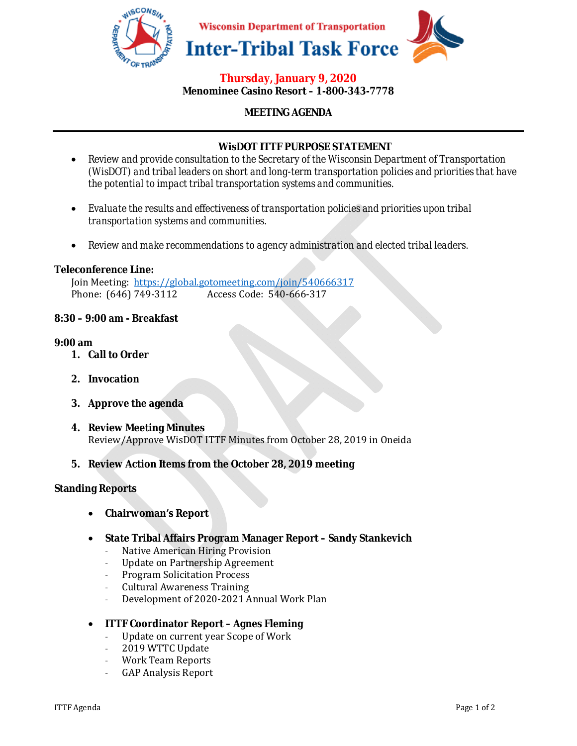

## **Thursday, January 9, 2020 Menominee Casino Resort – 1-800-343-7778**

## **MEETING AGENDA**

## **WisDOT ITTF PURPOSE STATEMENT**

- *Review and provide consultation to the Secretary of the Wisconsin Department of Transportation (WisDOT) and tribal leaders on short and long-term transportation policies and priorities that have the potential to impact tribal transportation systems and communities.*
- *Evaluate the results and effectiveness of transportation policies and priorities upon tribal transportation systems and communities.*
- *Review and make recommendations to agency administration and elected tribal leaders.*

#### **Teleconference Line:**

Join Meeting: https://global.gotomeeting.com/join/540666317 Phone: (646) 749-3112 Access Code: 540-666-317

#### **8:30 – 9:00 am - Breakfast**

#### **9:00 am**

- **1. Call to Order**
- **2. Invocation**
- **3. Approve the agenda**
- **4. Review Meeting Minutes**  Review/Approve WisDOT ITTF Minutes from October 28, 2019 in Oneida
- **5. Review Action Items from the October 28, 2019 meeting**

#### **Standing Reports**

- **Chairwoman's Report**
- **State Tribal Affairs Program Manager Report Sandy Stankevich** 
	- Native American Hiring Provision
	- Update on Partnership Agreement
	- Program Solicitation Process
	- Cultural Awareness Training
	- Development of 2020-2021 Annual Work Plan

## • **ITTF Coordinator Report – Agnes Fleming**

- Update on current year Scope of Work
- 2019 WTTC Update
- Work Team Reports
- GAP Analysis Report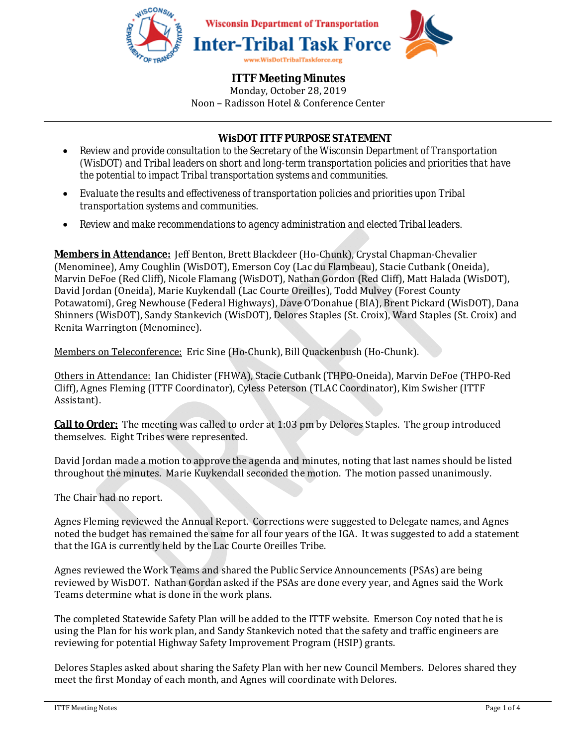

# **WisDOT ITTF PURPOSE STATEMENT**

- *Review and provide consultation to the Secretary of the Wisconsin Department of Transportation (WisDOT) and Tribal leaders on short and long-term transportation policies and priorities that have the potential to impact Tribal transportation systems and communities.*
- *Evaluate the results and effectiveness of transportation policies and priorities upon Tribal transportation systems and communities.*
- *Review and make recommendations to agency administration and elected Tribal leaders.*

**Members in Attendance:** Jeff Benton, Brett Blackdeer (Ho-Chunk), Crystal Chapman-Chevalier (Menominee), Amy Coughlin (WisDOT), Emerson Coy (Lac du Flambeau), Stacie Cutbank (Oneida), Marvin DeFoe (Red Cliff), Nicole Flamang (WisDOT), Nathan Gordon (Red Cliff), Matt Halada (WisDOT), David Jordan (Oneida), Marie Kuykendall (Lac Courte Oreilles), Todd Mulvey (Forest County Potawatomi), Greg Newhouse (Federal Highways), Dave O'Donahue (BIA), Brent Pickard (WisDOT), Dana Shinners (WisDOT), Sandy Stankevich (WisDOT), Delores Staples (St. Croix), Ward Staples (St. Croix) and Renita Warrington (Menominee).

Members on Teleconference: Eric Sine (Ho-Chunk), Bill Quackenbush (Ho-Chunk).

Others in Attendance: Ian Chidister (FHWA), Stacie Cutbank (THPO-Oneida), Marvin DeFoe (THPO-Red Cliff), Agnes Fleming (ITTF Coordinator), Cyless Peterson (TLAC Coordinator), Kim Swisher (ITTF Assistant).

**Call to Order:** The meeting was called to order at 1:03 pm by Delores Staples. The group introduced themselves. Eight Tribes were represented.

David Jordan made a motion to approve the agenda and minutes, noting that last names should be listed throughout the minutes. Marie Kuykendall seconded the motion. The motion passed unanimously.

The Chair had no report.

Agnes Fleming reviewed the Annual Report. Corrections were suggested to Delegate names, and Agnes noted the budget has remained the same for all four years of the IGA. It was suggested to add a statement that the IGA is currently held by the Lac Courte Oreilles Tribe.

Agnes reviewed the Work Teams and shared the Public Service Announcements (PSAs) are being reviewed by WisDOT. Nathan Gordan asked if the PSAs are done every year, and Agnes said the Work Teams determine what is done in the work plans.

The completed Statewide Safety Plan will be added to the ITTF website. Emerson Coy noted that he is using the Plan for his work plan, and Sandy Stankevich noted that the safety and traffic engineers are reviewing for potential Highway Safety Improvement Program (HSIP) grants.

Delores Staples asked about sharing the Safety Plan with her new Council Members. Delores shared they meet the first Monday of each month, and Agnes will coordinate with Delores.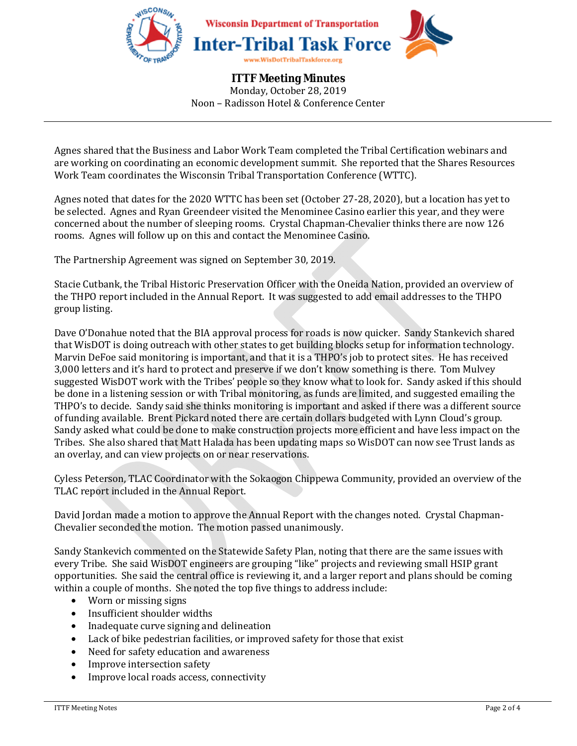

Agnes shared that the Business and Labor Work Team completed the Tribal Certification webinars and are working on coordinating an economic development summit. She reported that the Shares Resources Work Team coordinates the Wisconsin Tribal Transportation Conference (WTTC).

Agnes noted that dates for the 2020 WTTC has been set (October 27-28, 2020), but a location has yet to be selected. Agnes and Ryan Greendeer visited the Menominee Casino earlier this year, and they were concerned about the number of sleeping rooms. Crystal Chapman-Chevalier thinks there are now 126 rooms. Agnes will follow up on this and contact the Menominee Casino.

The Partnership Agreement was signed on September 30, 2019.

Stacie Cutbank, the Tribal Historic Preservation Officer with the Oneida Nation, provided an overview of the THPO report included in the Annual Report. It was suggested to add email addresses to the THPO group listing.

Dave O'Donahue noted that the BIA approval process for roads is now quicker. Sandy Stankevich shared that WisDOT is doing outreach with other states to get building blocks setup for information technology. Marvin DeFoe said monitoring is important, and that it is a THPO's job to protect sites. He has received 3,000 letters and it's hard to protect and preserve if we don't know something is there. Tom Mulvey suggested WisDOT work with the Tribes' people so they know what to look for. Sandy asked if this should be done in a listening session or with Tribal monitoring, as funds are limited, and suggested emailing the THPO's to decide. Sandy said she thinks monitoring is important and asked if there was a different source of funding available. Brent Pickard noted there are certain dollars budgeted with Lynn Cloud's group. Sandy asked what could be done to make construction projects more efficient and have less impact on the Tribes. She also shared that Matt Halada has been updating maps so WisDOT can now see Trust lands as an overlay, and can view projects on or near reservations.

Cyless Peterson, TLAC Coordinator with the Sokaogon Chippewa Community, provided an overview of the TLAC report included in the Annual Report.

David Jordan made a motion to approve the Annual Report with the changes noted. Crystal Chapman-Chevalier seconded the motion. The motion passed unanimously.

Sandy Stankevich commented on the Statewide Safety Plan, noting that there are the same issues with every Tribe. She said WisDOT engineers are grouping "like" projects and reviewing small HSIP grant opportunities. She said the central office is reviewing it, and a larger report and plans should be coming within a couple of months. She noted the top five things to address include:

- Worn or missing signs
- Insufficient shoulder widths
- Inadequate curve signing and delineation
- Lack of bike pedestrian facilities, or improved safety for those that exist
- Need for safety education and awareness
- Improve intersection safety
- Improve local roads access, connectivity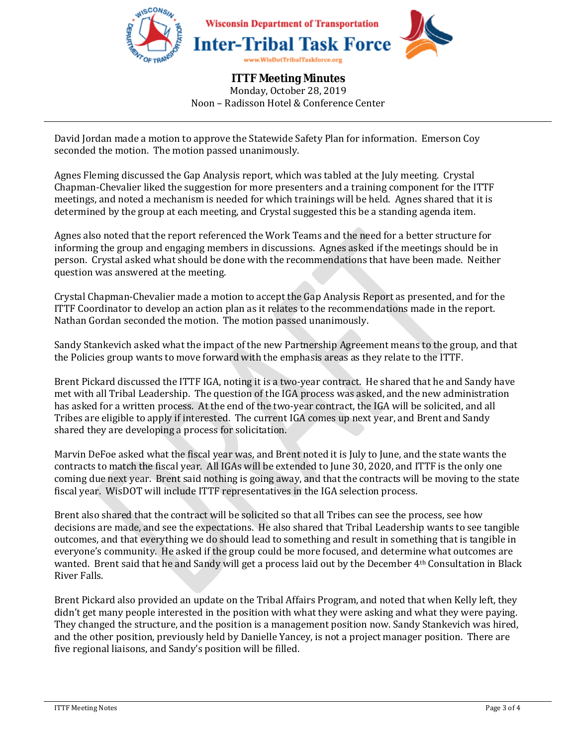

David Jordan made a motion to approve the Statewide Safety Plan for information. Emerson Coy seconded the motion. The motion passed unanimously.

Agnes Fleming discussed the Gap Analysis report, which was tabled at the July meeting. Crystal Chapman-Chevalier liked the suggestion for more presenters and a training component for the ITTF meetings, and noted a mechanism is needed for which trainings will be held. Agnes shared that it is determined by the group at each meeting, and Crystal suggested this be a standing agenda item.

Agnes also noted that the report referenced the Work Teams and the need for a better structure for informing the group and engaging members in discussions. Agnes asked if the meetings should be in person. Crystal asked what should be done with the recommendations that have been made. Neither question was answered at the meeting.

Crystal Chapman-Chevalier made a motion to accept the Gap Analysis Report as presented, and for the ITTF Coordinator to develop an action plan as it relates to the recommendations made in the report. Nathan Gordan seconded the motion. The motion passed unanimously.

Sandy Stankevich asked what the impact of the new Partnership Agreement means to the group, and that the Policies group wants to move forward with the emphasis areas as they relate to the ITTF.

Brent Pickard discussed the ITTF IGA, noting it is a two-year contract. He shared that he and Sandy have met with all Tribal Leadership. The question of the IGA process was asked, and the new administration has asked for a written process. At the end of the two-year contract, the IGA will be solicited, and all Tribes are eligible to apply if interested. The current IGA comes up next year, and Brent and Sandy shared they are developing a process for solicitation.

Marvin DeFoe asked what the fiscal year was, and Brent noted it is July to June, and the state wants the contracts to match the fiscal year. All IGAs will be extended to June 30, 2020, and ITTF is the only one coming due next year. Brent said nothing is going away, and that the contracts will be moving to the state fiscal year. WisDOT will include ITTF representatives in the IGA selection process.

Brent also shared that the contract will be solicited so that all Tribes can see the process, see how decisions are made, and see the expectations. He also shared that Tribal Leadership wants to see tangible outcomes, and that everything we do should lead to something and result in something that is tangible in everyone's community. He asked if the group could be more focused, and determine what outcomes are wanted. Brent said that he and Sandy will get a process laid out by the December 4th Consultation in Black River Falls.

Brent Pickard also provided an update on the Tribal Affairs Program, and noted that when Kelly left, they didn't get many people interested in the position with what they were asking and what they were paying. They changed the structure, and the position is a management position now. Sandy Stankevich was hired, and the other position, previously held by Danielle Yancey, is not a project manager position. There are five regional liaisons, and Sandy's position will be filled.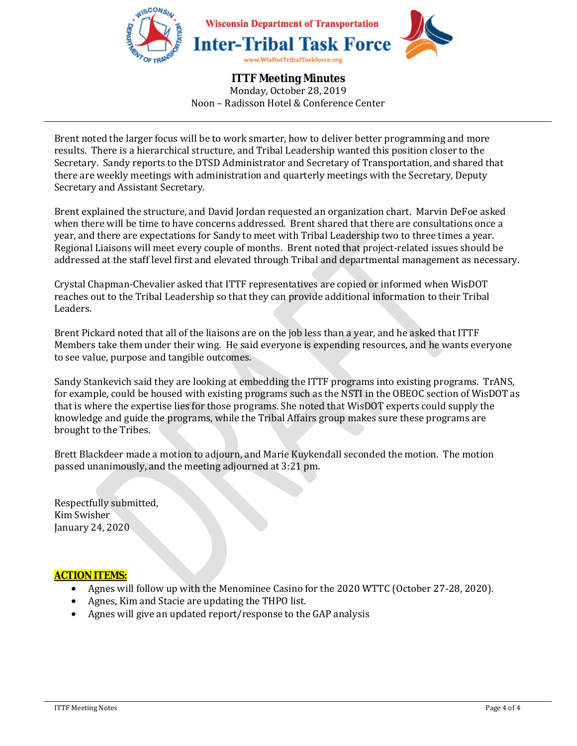

Brent noted the larger focus will be to work smarter, how to deliver better programming and more results. There is a hierarchical structure, and Tribal Leadership wanted this position closer to the Secretary. Sandy reports to the DTSD Administrator and Secretary of Transportation, and shared that there are weekly meetings with administration and quarterly meetings with the Secretary, Deputy Secretary and Assistant Secretary.

Brent explained the structure, and David Jordan requested an organization chart. Marvin DeFoe asked when there will be time to have concerns addressed. Brent shared that there are consultations once a year, and there are expectations for Sandy to meet with Tribal Leadership two to three times a year. Regional Liaisons will meet every couple of months. Brent noted that project-related issues should be addressed at the staff level first and elevated through Tribal and departmental management as necessary.

Crystal Chapman-Chevalier asked that ITTF representatives are copied or informed when WisDOT reaches out to the Tribal Leadership so that they can provide additional information to their Tribal Leaders.

Brent Pickard noted that all of the liaisons are on the job less than a year, and he asked that ITTF Members take them under their wing. He said everyone is expending resources, and he wants everyone to see value, purpose and tangible outcomes.

Sandy Stankevich said they are looking at embedding the ITTF programs into existing programs. TrANS, for example, could be housed with existing programs such as the NSTI in the OBEOC section of WisDOT as that is where the expertise lies for those programs. She noted that WisDOT experts could supply the knowledge and guide the programs, while the Tribal Affairs group makes sure these programs are brought to the Tribes.

Brett Blackdeer made a motion to adjourn, and Marie Kuykendall seconded the motion. The motion passed unanimously, and the meeting adjourned at 3:21 pm.

Respectfully submitted, Kim Swisher January 24, 2020

## **ACTION ITEMS:**

- Agnes will follow up with the Menominee Casino for the 2020 WTTC (October 27-28, 2020).
- Agnes, Kim and Stacie are updating the THPO list.
- Agnes will give an updated report/response to the GAP analysis